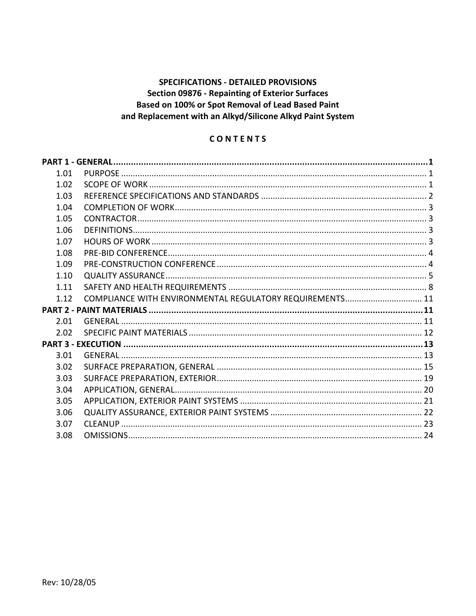# **SPECIFICATIONS - DETAILED PROVISIONS Section 09876 - Repainting of Exterior Surfaces** Based on 100% or Spot Removal of Lead Based Paint and Replacement with an Alkyd/Silicone Alkyd Paint System

# CONTENTS

| 1.01 |                                                          |  |
|------|----------------------------------------------------------|--|
| 1.02 |                                                          |  |
| 1.03 |                                                          |  |
| 1.04 |                                                          |  |
| 1.05 |                                                          |  |
| 1.06 |                                                          |  |
| 1.07 |                                                          |  |
| 1.08 |                                                          |  |
| 1.09 |                                                          |  |
| 1.10 |                                                          |  |
| 1.11 |                                                          |  |
| 1.12 | COMPLIANCE WITH ENVIRONMENTAL REGULATORY REQUIREMENTS 11 |  |
|      |                                                          |  |
| 2.01 |                                                          |  |
| 2.02 |                                                          |  |
|      |                                                          |  |
| 3.01 |                                                          |  |
| 3.02 |                                                          |  |
| 3.03 |                                                          |  |
| 3.04 |                                                          |  |
| 3.05 |                                                          |  |
| 3.06 |                                                          |  |
| 3.07 |                                                          |  |
| 3.08 |                                                          |  |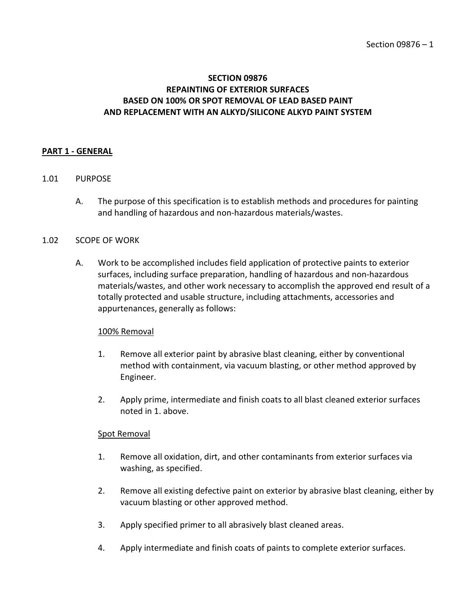# **SECTION 09876 REPAINTING OF EXTERIOR SURFACES BASED ON 100% OR SPOT REMOVAL OF LEAD BASED PAINT AND REPLACEMENT WITH AN ALKYD/SILICONE ALKYD PAINT SYSTEM**

#### <span id="page-2-0"></span>**PART 1 - GENERAL**

### <span id="page-2-1"></span>1.01 PURPOSE

A. The purpose of this specification is to establish methods and procedures for painting and handling of hazardous and non-hazardous materials/wastes.

#### <span id="page-2-2"></span>1.02 SCOPE OF WORK

A. Work to be accomplished includes field application of protective paints to exterior surfaces, including surface preparation, handling of hazardous and non-hazardous materials/wastes, and other work necessary to accomplish the approved end result of a totally protected and usable structure, including attachments, accessories and appurtenances, generally as follows:

## 100% Removal

- 1. Remove all exterior paint by abrasive blast cleaning, either by conventional method with containment, via vacuum blasting, or other method approved by Engineer.
- 2. Apply prime, intermediate and finish coats to all blast cleaned exterior surfaces noted in 1. above.

## Spot Removal

- 1. Remove all oxidation, dirt, and other contaminants from exterior surfaces via washing, as specified.
- 2. Remove all existing defective paint on exterior by abrasive blast cleaning, either by vacuum blasting or other approved method.
- 3. Apply specified primer to all abrasively blast cleaned areas.
- 4. Apply intermediate and finish coats of paints to complete exterior surfaces.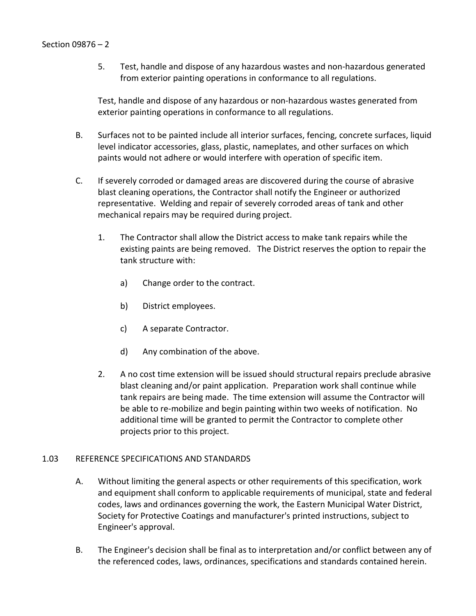5. Test, handle and dispose of any hazardous wastes and non-hazardous generated from exterior painting operations in conformance to all regulations.

Test, handle and dispose of any hazardous or non-hazardous wastes generated from exterior painting operations in conformance to all regulations.

- B. Surfaces not to be painted include all interior surfaces, fencing, concrete surfaces, liquid level indicator accessories, glass, plastic, nameplates, and other surfaces on which paints would not adhere or would interfere with operation of specific item.
- C. If severely corroded or damaged areas are discovered during the course of abrasive blast cleaning operations, the Contractor shall notify the Engineer or authorized representative. Welding and repair of severely corroded areas of tank and other mechanical repairs may be required during project.
	- 1. The Contractor shall allow the District access to make tank repairs while the existing paints are being removed. The District reserves the option to repair the tank structure with:
		- a) Change order to the contract.
		- b) District employees.
		- c) A separate Contractor.
		- d) Any combination of the above.
	- 2. A no cost time extension will be issued should structural repairs preclude abrasive blast cleaning and/or paint application. Preparation work shall continue while tank repairs are being made. The time extension will assume the Contractor will be able to re-mobilize and begin painting within two weeks of notification. No additional time will be granted to permit the Contractor to complete other projects prior to this project.

## <span id="page-3-0"></span>1.03 REFERENCE SPECIFICATIONS AND STANDARDS

- A. Without limiting the general aspects or other requirements of this specification, work and equipment shall conform to applicable requirements of municipal, state and federal codes, laws and ordinances governing the work, the Eastern Municipal Water District, Society for Protective Coatings and manufacturer's printed instructions, subject to Engineer's approval.
- B. The Engineer's decision shall be final as to interpretation and/or conflict between any of the referenced codes, laws, ordinances, specifications and standards contained herein.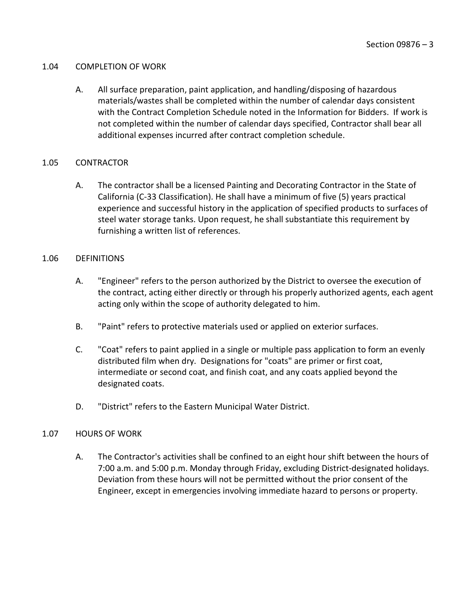### <span id="page-4-0"></span>1.04 COMPLETION OF WORK

A. All surface preparation, paint application, and handling/disposing of hazardous materials/wastes shall be completed within the number of calendar days consistent with the Contract Completion Schedule noted in the Information for Bidders. If work is not completed within the number of calendar days specified, Contractor shall bear all additional expenses incurred after contract completion schedule.

## <span id="page-4-1"></span>1.05 CONTRACTOR

A. The contractor shall be a licensed Painting and Decorating Contractor in the State of California (C-33 Classification). He shall have a minimum of five (5) years practical experience and successful history in the application of specified products to surfaces of steel water storage tanks. Upon request, he shall substantiate this requirement by furnishing a written list of references.

## <span id="page-4-2"></span>1.06 DEFINITIONS

- A. "Engineer" refers to the person authorized by the District to oversee the execution of the contract, acting either directly or through his properly authorized agents, each agent acting only within the scope of authority delegated to him.
- B. "Paint" refers to protective materials used or applied on exterior surfaces.
- C. "Coat" refers to paint applied in a single or multiple pass application to form an evenly distributed film when dry. Designations for "coats" are primer or first coat, intermediate or second coat, and finish coat, and any coats applied beyond the designated coats.
- D. "District" refers to the Eastern Municipal Water District.

# <span id="page-4-3"></span>1.07 HOURS OF WORK

A. The Contractor's activities shall be confined to an eight hour shift between the hours of 7:00 a.m. and 5:00 p.m. Monday through Friday, excluding District-designated holidays. Deviation from these hours will not be permitted without the prior consent of the Engineer, except in emergencies involving immediate hazard to persons or property.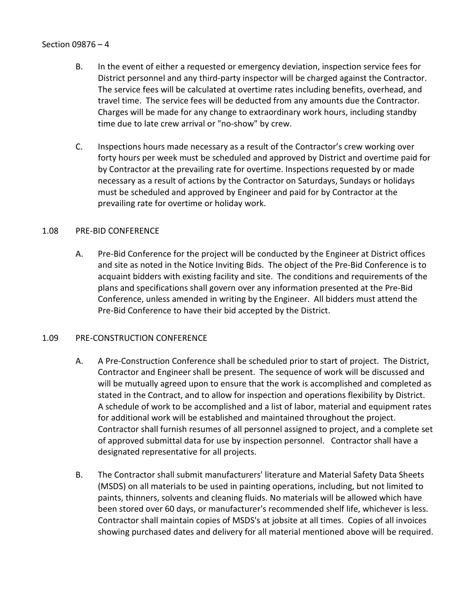- B. In the event of either a requested or emergency deviation, inspection service fees for District personnel and any third-party inspector will be charged against the Contractor. The service fees will be calculated at overtime rates including benefits, overhead, and travel time. The service fees will be deducted from any amounts due the Contractor. Charges will be made for any change to extraordinary work hours, including standby time due to late crew arrival or "no-show" by crew.
- C. Inspections hours made necessary as a result of the Contractor's crew working over forty hours per week must be scheduled and approved by District and overtime paid for by Contractor at the prevailing rate for overtime. Inspections requested by or made necessary as a result of actions by the Contractor on Saturdays, Sundays or holidays must be scheduled and approved by Engineer and paid for by Contractor at the prevailing rate for overtime or holiday work.

## <span id="page-5-0"></span>1.08 PRE-BID CONFERENCE

A. Pre-Bid Conference for the project will be conducted by the Engineer at District offices and site as noted in the Notice Inviting Bids. The object of the Pre-Bid Conference is to acquaint bidders with existing facility and site. The conditions and requirements of the plans and specifications shall govern over any information presented at the Pre-Bid Conference, unless amended in writing by the Engineer. All bidders must attend the Pre-Bid Conference to have their bid accepted by the District.

## <span id="page-5-1"></span>1.09 PRE-CONSTRUCTION CONFERENCE

- A. A Pre-Construction Conference shall be scheduled prior to start of project. The District, Contractor and Engineer shall be present. The sequence of work will be discussed and will be mutually agreed upon to ensure that the work is accomplished and completed as stated in the Contract, and to allow for inspection and operations flexibility by District. A schedule of work to be accomplished and a list of labor, material and equipment rates for additional work will be established and maintained throughout the project. Contractor shall furnish resumes of all personnel assigned to project, and a complete set of approved submittal data for use by inspection personnel. Contractor shall have a designated representative for all projects.
- B. The Contractor shall submit manufacturers' literature and Material Safety Data Sheets (MSDS) on all materials to be used in painting operations, including, but not limited to paints, thinners, solvents and cleaning fluids. No materials will be allowed which have been stored over 60 days, or manufacturer's recommended shelf life, whichever is less. Contractor shall maintain copies of MSDS's at jobsite at all times. Copies of all invoices showing purchased dates and delivery for all material mentioned above will be required.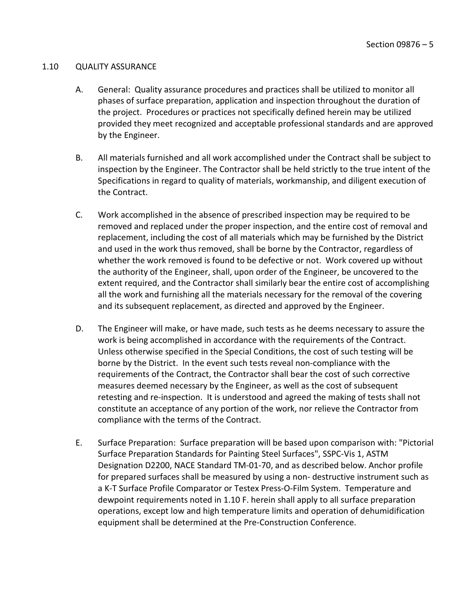#### <span id="page-6-0"></span>1.10 QUALITY ASSURANCE

- A. General: Quality assurance procedures and practices shall be utilized to monitor all phases of surface preparation, application and inspection throughout the duration of the project. Procedures or practices not specifically defined herein may be utilized provided they meet recognized and acceptable professional standards and are approved by the Engineer.
- B. All materials furnished and all work accomplished under the Contract shall be subject to inspection by the Engineer. The Contractor shall be held strictly to the true intent of the Specifications in regard to quality of materials, workmanship, and diligent execution of the Contract.
- C. Work accomplished in the absence of prescribed inspection may be required to be removed and replaced under the proper inspection, and the entire cost of removal and replacement, including the cost of all materials which may be furnished by the District and used in the work thus removed, shall be borne by the Contractor, regardless of whether the work removed is found to be defective or not. Work covered up without the authority of the Engineer, shall, upon order of the Engineer, be uncovered to the extent required, and the Contractor shall similarly bear the entire cost of accomplishing all the work and furnishing all the materials necessary for the removal of the covering and its subsequent replacement, as directed and approved by the Engineer.
- D. The Engineer will make, or have made, such tests as he deems necessary to assure the work is being accomplished in accordance with the requirements of the Contract. Unless otherwise specified in the Special Conditions, the cost of such testing will be borne by the District. In the event such tests reveal non-compliance with the requirements of the Contract, the Contractor shall bear the cost of such corrective measures deemed necessary by the Engineer, as well as the cost of subsequent retesting and re-inspection. It is understood and agreed the making of tests shall not constitute an acceptance of any portion of the work, nor relieve the Contractor from compliance with the terms of the Contract.
- E. Surface Preparation: Surface preparation will be based upon comparison with: "Pictorial Surface Preparation Standards for Painting Steel Surfaces", SSPC-Vis 1, ASTM Designation D2200, NACE Standard TM-01-70, and as described below. Anchor profile for prepared surfaces shall be measured by using a non- destructive instrument such as a K-T Surface Profile Comparator or Testex Press-O-Film System. Temperature and dewpoint requirements noted in 1.10 F. herein shall apply to all surface preparation operations, except low and high temperature limits and operation of dehumidification equipment shall be determined at the Pre-Construction Conference.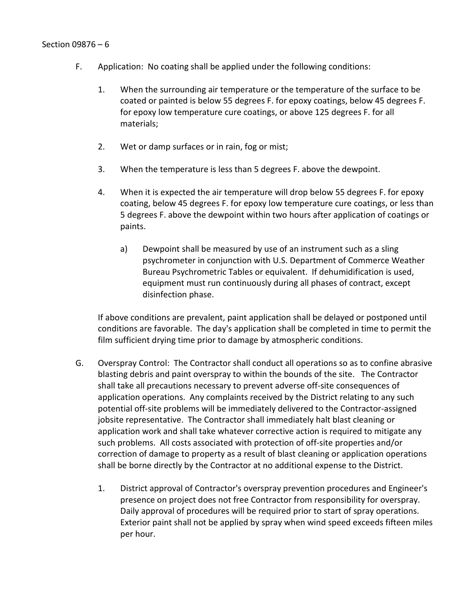- F. Application: No coating shall be applied under the following conditions:
	- 1. When the surrounding air temperature or the temperature of the surface to be coated or painted is below 55 degrees F. for epoxy coatings, below 45 degrees F. for epoxy low temperature cure coatings, or above 125 degrees F. for all materials;
	- 2. Wet or damp surfaces or in rain, fog or mist;
	- 3. When the temperature is less than 5 degrees F. above the dewpoint.
	- 4. When it is expected the air temperature will drop below 55 degrees F. for epoxy coating, below 45 degrees F. for epoxy low temperature cure coatings, or less than 5 degrees F. above the dewpoint within two hours after application of coatings or paints.
		- a) Dewpoint shall be measured by use of an instrument such as a sling psychrometer in conjunction with U.S. Department of Commerce Weather Bureau Psychrometric Tables or equivalent. If dehumidification is used, equipment must run continuously during all phases of contract, except disinfection phase.

If above conditions are prevalent, paint application shall be delayed or postponed until conditions are favorable. The day's application shall be completed in time to permit the film sufficient drying time prior to damage by atmospheric conditions.

- G. Overspray Control: The Contractor shall conduct all operations so as to confine abrasive blasting debris and paint overspray to within the bounds of the site. The Contractor shall take all precautions necessary to prevent adverse off-site consequences of application operations. Any complaints received by the District relating to any such potential off-site problems will be immediately delivered to the Contractor-assigned jobsite representative. The Contractor shall immediately halt blast cleaning or application work and shall take whatever corrective action is required to mitigate any such problems. All costs associated with protection of off-site properties and/or correction of damage to property as a result of blast cleaning or application operations shall be borne directly by the Contractor at no additional expense to the District.
	- 1. District approval of Contractor's overspray prevention procedures and Engineer's presence on project does not free Contractor from responsibility for overspray. Daily approval of procedures will be required prior to start of spray operations. Exterior paint shall not be applied by spray when wind speed exceeds fifteen miles per hour.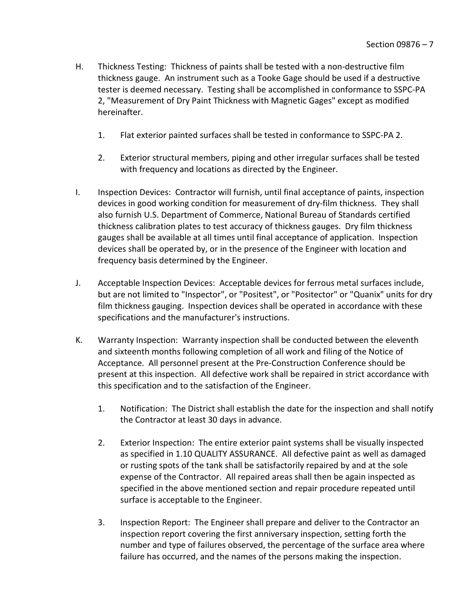- H. Thickness Testing: Thickness of paints shall be tested with a non-destructive film thickness gauge. An instrument such as a Tooke Gage should be used if a destructive tester is deemed necessary. Testing shall be accomplished in conformance to SSPC-PA 2, "Measurement of Dry Paint Thickness with Magnetic Gages" except as modified hereinafter.
	- 1. Flat exterior painted surfaces shall be tested in conformance to SSPC-PA 2.
	- 2. Exterior structural members, piping and other irregular surfaces shall be tested with frequency and locations as directed by the Engineer.
- I. Inspection Devices: Contractor will furnish, until final acceptance of paints, inspection devices in good working condition for measurement of dry-film thickness. They shall also furnish U.S. Department of Commerce, National Bureau of Standards certified thickness calibration plates to test accuracy of thickness gauges. Dry film thickness gauges shall be available at all times until final acceptance of application. Inspection devices shall be operated by, or in the presence of the Engineer with location and frequency basis determined by the Engineer.
- J. Acceptable Inspection Devices: Acceptable devices for ferrous metal surfaces include, but are not limited to "Inspector", or "Positest", or "Positector" or "Quanix" units for dry film thickness gauging. Inspection devices shall be operated in accordance with these specifications and the manufacturer's instructions.
- K. Warranty Inspection: Warranty inspection shall be conducted between the eleventh and sixteenth months following completion of all work and filing of the Notice of Acceptance. All personnel present at the Pre-Construction Conference should be present at this inspection. All defective work shall be repaired in strict accordance with this specification and to the satisfaction of the Engineer.
	- 1. Notification: The District shall establish the date for the inspection and shall notify the Contractor at least 30 days in advance.
	- 2. Exterior Inspection: The entire exterior paint systems shall be visually inspected as specified in 1.10 QUALITY ASSURANCE. All defective paint as well as damaged or rusting spots of the tank shall be satisfactorily repaired by and at the sole expense of the Contractor. All repaired areas shall then be again inspected as specified in the above mentioned section and repair procedure repeated until surface is acceptable to the Engineer.
	- 3. Inspection Report: The Engineer shall prepare and deliver to the Contractor an inspection report covering the first anniversary inspection, setting forth the number and type of failures observed, the percentage of the surface area where failure has occurred, and the names of the persons making the inspection.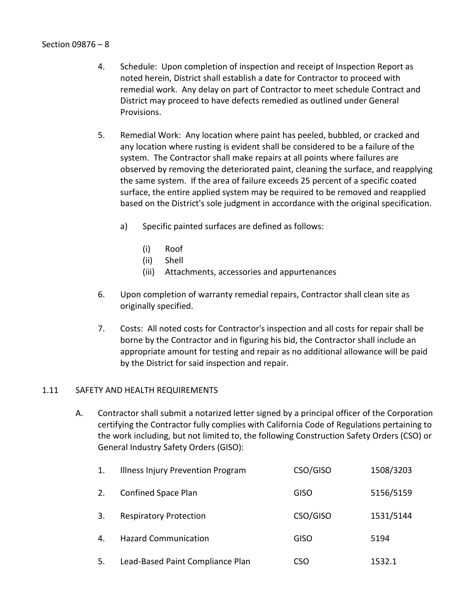- 4. Schedule: Upon completion of inspection and receipt of Inspection Report as noted herein, District shall establish a date for Contractor to proceed with remedial work. Any delay on part of Contractor to meet schedule Contract and District may proceed to have defects remedied as outlined under General Provisions.
- 5. Remedial Work: Any location where paint has peeled, bubbled, or cracked and any location where rusting is evident shall be considered to be a failure of the system. The Contractor shall make repairs at all points where failures are observed by removing the deteriorated paint, cleaning the surface, and reapplying the same system. If the area of failure exceeds 25 percent of a specific coated surface, the entire applied system may be required to be removed and reapplied based on the District's sole judgment in accordance with the original specification.
	- a) Specific painted surfaces are defined as follows:
		- (i) Roof
		- (ii) Shell
		- (iii) Attachments, accessories and appurtenances
- 6. Upon completion of warranty remedial repairs, Contractor shall clean site as originally specified.
- 7. Costs: All noted costs for Contractor's inspection and all costs for repair shall be borne by the Contractor and in figuring his bid, the Contractor shall include an appropriate amount for testing and repair as no additional allowance will be paid by the District for said inspection and repair.

## <span id="page-9-0"></span>1.11 SAFETY AND HEALTH REQUIREMENTS

A. Contractor shall submit a notarized letter signed by a principal officer of the Corporation certifying the Contractor fully complies with California Code of Regulations pertaining to the work including, but not limited to, the following Construction Safety Orders (CSO) or General Industry Safety Orders (GISO):

| 1.             | Illness Injury Prevention Program | CSO/GISO    | 1508/3203 |
|----------------|-----------------------------------|-------------|-----------|
| 2.             | Confined Space Plan               | <b>GISO</b> | 5156/5159 |
| 3.             | <b>Respiratory Protection</b>     | CSO/GISO    | 1531/5144 |
| $\mathbf{4}$ . | <b>Hazard Communication</b>       | <b>GISO</b> | 5194      |
| 5.             | Lead-Based Paint Compliance Plan  | CSO         | 1532.1    |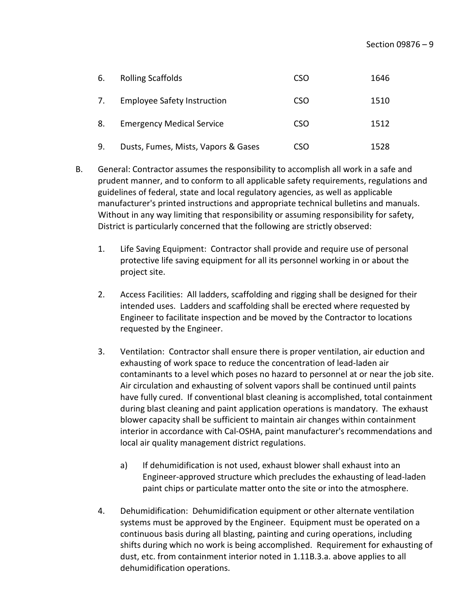| 6. | <b>Rolling Scaffolds</b>            | CSO | 1646 |
|----|-------------------------------------|-----|------|
| 7. | <b>Employee Safety Instruction</b>  | CSO | 1510 |
| 8. | <b>Emergency Medical Service</b>    | CSO | 1512 |
| 9. | Dusts, Fumes, Mists, Vapors & Gases | CSO | 1528 |

- B. General: Contractor assumes the responsibility to accomplish all work in a safe and prudent manner, and to conform to all applicable safety requirements, regulations and guidelines of federal, state and local regulatory agencies, as well as applicable manufacturer's printed instructions and appropriate technical bulletins and manuals. Without in any way limiting that responsibility or assuming responsibility for safety, District is particularly concerned that the following are strictly observed:
	- 1. Life Saving Equipment: Contractor shall provide and require use of personal protective life saving equipment for all its personnel working in or about the project site.
	- 2. Access Facilities: All ladders, scaffolding and rigging shall be designed for their intended uses. Ladders and scaffolding shall be erected where requested by Engineer to facilitate inspection and be moved by the Contractor to locations requested by the Engineer.
	- 3. Ventilation: Contractor shall ensure there is proper ventilation, air eduction and exhausting of work space to reduce the concentration of lead-laden air contaminants to a level which poses no hazard to personnel at or near the job site. Air circulation and exhausting of solvent vapors shall be continued until paints have fully cured. If conventional blast cleaning is accomplished, total containment during blast cleaning and paint application operations is mandatory. The exhaust blower capacity shall be sufficient to maintain air changes within containment interior in accordance with Cal-OSHA, paint manufacturer's recommendations and local air quality management district regulations.
		- a) If dehumidification is not used, exhaust blower shall exhaust into an Engineer-approved structure which precludes the exhausting of lead-laden paint chips or particulate matter onto the site or into the atmosphere.
	- 4. Dehumidification: Dehumidification equipment or other alternate ventilation systems must be approved by the Engineer. Equipment must be operated on a continuous basis during all blasting, painting and curing operations, including shifts during which no work is being accomplished. Requirement for exhausting of dust, etc. from containment interior noted in 1.11B.3.a. above applies to all dehumidification operations.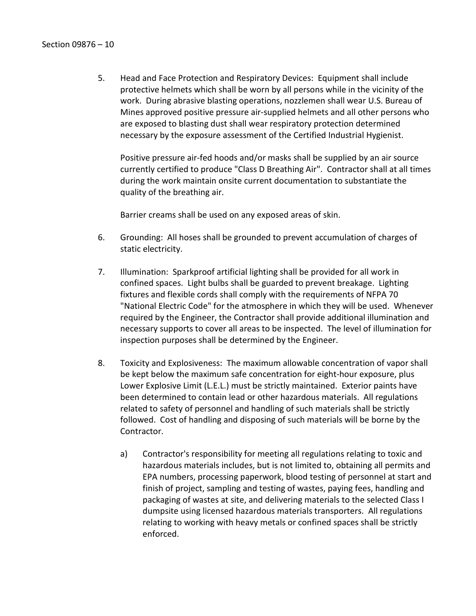5. Head and Face Protection and Respiratory Devices: Equipment shall include protective helmets which shall be worn by all persons while in the vicinity of the work. During abrasive blasting operations, nozzlemen shall wear U.S. Bureau of Mines approved positive pressure air-supplied helmets and all other persons who are exposed to blasting dust shall wear respiratory protection determined necessary by the exposure assessment of the Certified Industrial Hygienist.

Positive pressure air-fed hoods and/or masks shall be supplied by an air source currently certified to produce "Class D Breathing Air". Contractor shall at all times during the work maintain onsite current documentation to substantiate the quality of the breathing air.

Barrier creams shall be used on any exposed areas of skin.

- 6. Grounding: All hoses shall be grounded to prevent accumulation of charges of static electricity.
- 7. Illumination: Sparkproof artificial lighting shall be provided for all work in confined spaces. Light bulbs shall be guarded to prevent breakage. Lighting fixtures and flexible cords shall comply with the requirements of NFPA 70 "National Electric Code" for the atmosphere in which they will be used. Whenever required by the Engineer, the Contractor shall provide additional illumination and necessary supports to cover all areas to be inspected. The level of illumination for inspection purposes shall be determined by the Engineer.
- 8. Toxicity and Explosiveness: The maximum allowable concentration of vapor shall be kept below the maximum safe concentration for eight-hour exposure, plus Lower Explosive Limit (L.E.L.) must be strictly maintained. Exterior paints have been determined to contain lead or other hazardous materials. All regulations related to safety of personnel and handling of such materials shall be strictly followed. Cost of handling and disposing of such materials will be borne by the Contractor.
	- a) Contractor's responsibility for meeting all regulations relating to toxic and hazardous materials includes, but is not limited to, obtaining all permits and EPA numbers, processing paperwork, blood testing of personnel at start and finish of project, sampling and testing of wastes, paying fees, handling and packaging of wastes at site, and delivering materials to the selected Class I dumpsite using licensed hazardous materials transporters. All regulations relating to working with heavy metals or confined spaces shall be strictly enforced.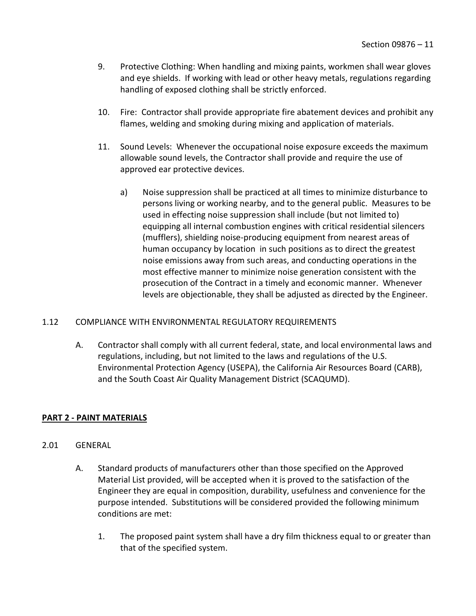- 9. Protective Clothing: When handling and mixing paints, workmen shall wear gloves and eye shields. If working with lead or other heavy metals, regulations regarding handling of exposed clothing shall be strictly enforced.
- 10. Fire: Contractor shall provide appropriate fire abatement devices and prohibit any flames, welding and smoking during mixing and application of materials.
- 11. Sound Levels: Whenever the occupational noise exposure exceeds the maximum allowable sound levels, the Contractor shall provide and require the use of approved ear protective devices.
	- a) Noise suppression shall be practiced at all times to minimize disturbance to persons living or working nearby, and to the general public. Measures to be used in effecting noise suppression shall include (but not limited to) equipping all internal combustion engines with critical residential silencers (mufflers), shielding noise-producing equipment from nearest areas of human occupancy by location in such positions as to direct the greatest noise emissions away from such areas, and conducting operations in the most effective manner to minimize noise generation consistent with the prosecution of the Contract in a timely and economic manner. Whenever levels are objectionable, they shall be adjusted as directed by the Engineer.

# <span id="page-12-0"></span>1.12 COMPLIANCE WITH ENVIRONMENTAL REGULATORY REQUIREMENTS

A. Contractor shall comply with all current federal, state, and local environmental laws and regulations, including, but not limited to the laws and regulations of the U.S. Environmental Protection Agency (USEPA), the California Air Resources Board (CARB), and the South Coast Air Quality Management District (SCAQUMD).

## <span id="page-12-1"></span>**PART 2 - PAINT MATERIALS**

## <span id="page-12-2"></span>2.01 GENERAL

- A. Standard products of manufacturers other than those specified on the Approved Material List provided, will be accepted when it is proved to the satisfaction of the Engineer they are equal in composition, durability, usefulness and convenience for the purpose intended. Substitutions will be considered provided the following minimum conditions are met:
	- 1. The proposed paint system shall have a dry film thickness equal to or greater than that of the specified system.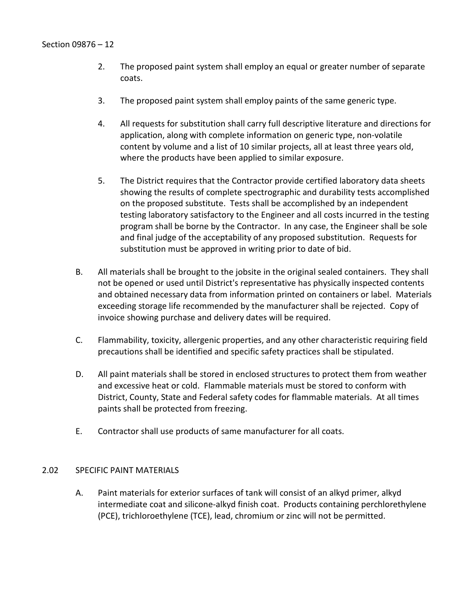- 2. The proposed paint system shall employ an equal or greater number of separate coats.
- 3. The proposed paint system shall employ paints of the same generic type.
- 4. All requests for substitution shall carry full descriptive literature and directions for application, along with complete information on generic type, non-volatile content by volume and a list of 10 similar projects, all at least three years old, where the products have been applied to similar exposure.
- 5. The District requires that the Contractor provide certified laboratory data sheets showing the results of complete spectrographic and durability tests accomplished on the proposed substitute. Tests shall be accomplished by an independent testing laboratory satisfactory to the Engineer and all costs incurred in the testing program shall be borne by the Contractor. In any case, the Engineer shall be sole and final judge of the acceptability of any proposed substitution. Requests for substitution must be approved in writing prior to date of bid.
- B. All materials shall be brought to the jobsite in the original sealed containers. They shall not be opened or used until District's representative has physically inspected contents and obtained necessary data from information printed on containers or label. Materials exceeding storage life recommended by the manufacturer shall be rejected. Copy of invoice showing purchase and delivery dates will be required.
- C. Flammability, toxicity, allergenic properties, and any other characteristic requiring field precautions shall be identified and specific safety practices shall be stipulated.
- D. All paint materials shall be stored in enclosed structures to protect them from weather and excessive heat or cold. Flammable materials must be stored to conform with District, County, State and Federal safety codes for flammable materials. At all times paints shall be protected from freezing.
- E. Contractor shall use products of same manufacturer for all coats.

## <span id="page-13-0"></span>2.02 SPECIFIC PAINT MATERIALS

A. Paint materials for exterior surfaces of tank will consist of an alkyd primer, alkyd intermediate coat and silicone-alkyd finish coat. Products containing perchlorethylene (PCE), trichloroethylene (TCE), lead, chromium or zinc will not be permitted.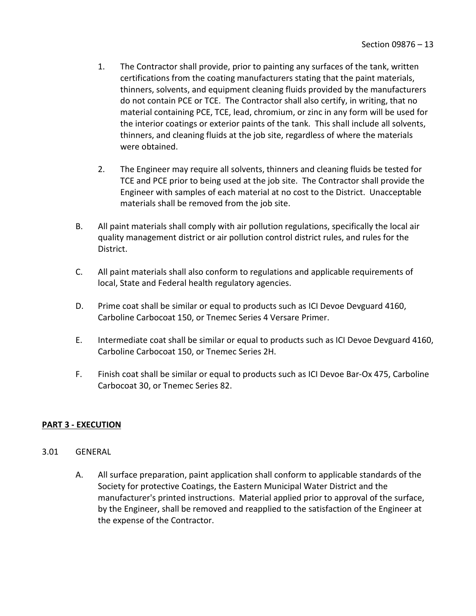- 1. The Contractor shall provide, prior to painting any surfaces of the tank, written certifications from the coating manufacturers stating that the paint materials, thinners, solvents, and equipment cleaning fluids provided by the manufacturers do not contain PCE or TCE. The Contractor shall also certify, in writing, that no material containing PCE, TCE, lead, chromium, or zinc in any form will be used for the interior coatings or exterior paints of the tank. This shall include all solvents, thinners, and cleaning fluids at the job site, regardless of where the materials were obtained.
- 2. The Engineer may require all solvents, thinners and cleaning fluids be tested for TCE and PCE prior to being used at the job site. The Contractor shall provide the Engineer with samples of each material at no cost to the District. Unacceptable materials shall be removed from the job site.
- B. All paint materials shall comply with air pollution regulations, specifically the local air quality management district or air pollution control district rules, and rules for the District.
- C. All paint materials shall also conform to regulations and applicable requirements of local, State and Federal health regulatory agencies.
- D. Prime coat shall be similar or equal to products such as ICI Devoe Devguard 4160, Carboline Carbocoat 150, or Tnemec Series 4 Versare Primer.
- E. Intermediate coat shall be similar or equal to products such as ICI Devoe Devguard 4160, Carboline Carbocoat 150, or Tnemec Series 2H.
- F. Finish coat shall be similar or equal to products such as ICI Devoe Bar-Ox 475, Carboline Carbocoat 30, or Tnemec Series 82.

# <span id="page-14-0"></span>**PART 3 - EXECUTION**

## <span id="page-14-1"></span>3.01 GENERAL

A. All surface preparation, paint application shall conform to applicable standards of the Society for protective Coatings, the Eastern Municipal Water District and the manufacturer's printed instructions. Material applied prior to approval of the surface, by the Engineer, shall be removed and reapplied to the satisfaction of the Engineer at the expense of the Contractor.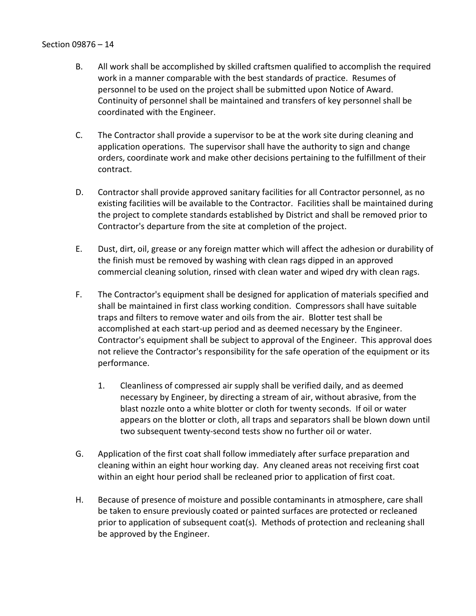- B. All work shall be accomplished by skilled craftsmen qualified to accomplish the required work in a manner comparable with the best standards of practice. Resumes of personnel to be used on the project shall be submitted upon Notice of Award. Continuity of personnel shall be maintained and transfers of key personnel shall be coordinated with the Engineer.
- C. The Contractor shall provide a supervisor to be at the work site during cleaning and application operations. The supervisor shall have the authority to sign and change orders, coordinate work and make other decisions pertaining to the fulfillment of their contract.
- D. Contractor shall provide approved sanitary facilities for all Contractor personnel, as no existing facilities will be available to the Contractor. Facilities shall be maintained during the project to complete standards established by District and shall be removed prior to Contractor's departure from the site at completion of the project.
- E. Dust, dirt, oil, grease or any foreign matter which will affect the adhesion or durability of the finish must be removed by washing with clean rags dipped in an approved commercial cleaning solution, rinsed with clean water and wiped dry with clean rags.
- F. The Contractor's equipment shall be designed for application of materials specified and shall be maintained in first class working condition. Compressors shall have suitable traps and filters to remove water and oils from the air. Blotter test shall be accomplished at each start-up period and as deemed necessary by the Engineer. Contractor's equipment shall be subject to approval of the Engineer. This approval does not relieve the Contractor's responsibility for the safe operation of the equipment or its performance.
	- 1. Cleanliness of compressed air supply shall be verified daily, and as deemed necessary by Engineer, by directing a stream of air, without abrasive, from the blast nozzle onto a white blotter or cloth for twenty seconds. If oil or water appears on the blotter or cloth, all traps and separators shall be blown down until two subsequent twenty-second tests show no further oil or water.
- G. Application of the first coat shall follow immediately after surface preparation and cleaning within an eight hour working day. Any cleaned areas not receiving first coat within an eight hour period shall be recleaned prior to application of first coat.
- H. Because of presence of moisture and possible contaminants in atmosphere, care shall be taken to ensure previously coated or painted surfaces are protected or recleaned prior to application of subsequent coat(s). Methods of protection and recleaning shall be approved by the Engineer.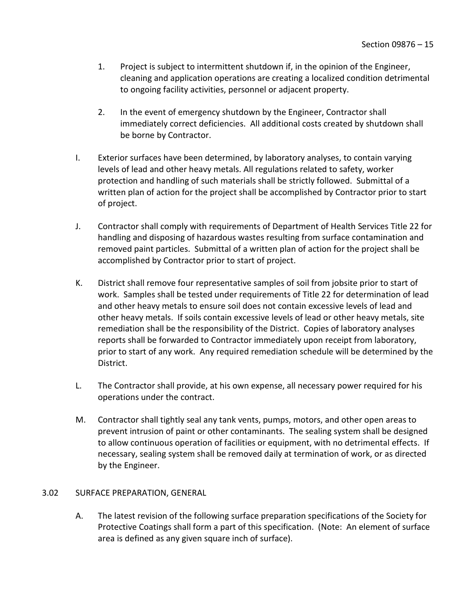- 1. Project is subject to intermittent shutdown if, in the opinion of the Engineer, cleaning and application operations are creating a localized condition detrimental to ongoing facility activities, personnel or adjacent property.
- 2. In the event of emergency shutdown by the Engineer, Contractor shall immediately correct deficiencies. All additional costs created by shutdown shall be borne by Contractor.
- I. Exterior surfaces have been determined, by laboratory analyses, to contain varying levels of lead and other heavy metals. All regulations related to safety, worker protection and handling of such materials shall be strictly followed. Submittal of a written plan of action for the project shall be accomplished by Contractor prior to start of project.
- J. Contractor shall comply with requirements of Department of Health Services Title 22 for handling and disposing of hazardous wastes resulting from surface contamination and removed paint particles. Submittal of a written plan of action for the project shall be accomplished by Contractor prior to start of project.
- K. District shall remove four representative samples of soil from jobsite prior to start of work. Samples shall be tested under requirements of Title 22 for determination of lead and other heavy metals to ensure soil does not contain excessive levels of lead and other heavy metals. If soils contain excessive levels of lead or other heavy metals, site remediation shall be the responsibility of the District. Copies of laboratory analyses reports shall be forwarded to Contractor immediately upon receipt from laboratory, prior to start of any work. Any required remediation schedule will be determined by the District.
- L. The Contractor shall provide, at his own expense, all necessary power required for his operations under the contract.
- M. Contractor shall tightly seal any tank vents, pumps, motors, and other open areas to prevent intrusion of paint or other contaminants. The sealing system shall be designed to allow continuous operation of facilities or equipment, with no detrimental effects. If necessary, sealing system shall be removed daily at termination of work, or as directed by the Engineer.

## <span id="page-16-0"></span>3.02 SURFACE PREPARATION, GENERAL

A. The latest revision of the following surface preparation specifications of the Society for Protective Coatings shall form a part of this specification. (Note: An element of surface area is defined as any given square inch of surface).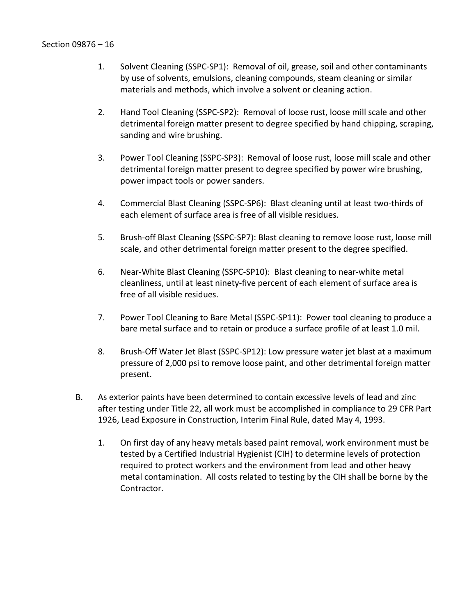- 1. Solvent Cleaning (SSPC-SP1): Removal of oil, grease, soil and other contaminants by use of solvents, emulsions, cleaning compounds, steam cleaning or similar materials and methods, which involve a solvent or cleaning action.
- 2. Hand Tool Cleaning (SSPC-SP2): Removal of loose rust, loose mill scale and other detrimental foreign matter present to degree specified by hand chipping, scraping, sanding and wire brushing.
- 3. Power Tool Cleaning (SSPC-SP3): Removal of loose rust, loose mill scale and other detrimental foreign matter present to degree specified by power wire brushing, power impact tools or power sanders.
- 4. Commercial Blast Cleaning (SSPC-SP6): Blast cleaning until at least two-thirds of each element of surface area is free of all visible residues.
- 5. Brush-off Blast Cleaning (SSPC-SP7): Blast cleaning to remove loose rust, loose mill scale, and other detrimental foreign matter present to the degree specified.
- 6. Near-White Blast Cleaning (SSPC-SP10): Blast cleaning to near-white metal cleanliness, until at least ninety-five percent of each element of surface area is free of all visible residues.
- 7. Power Tool Cleaning to Bare Metal (SSPC-SP11): Power tool cleaning to produce a bare metal surface and to retain or produce a surface profile of at least 1.0 mil.
- 8. Brush-Off Water Jet Blast (SSPC-SP12): Low pressure water jet blast at a maximum pressure of 2,000 psi to remove loose paint, and other detrimental foreign matter present.
- B. As exterior paints have been determined to contain excessive levels of lead and zinc after testing under Title 22, all work must be accomplished in compliance to 29 CFR Part 1926, Lead Exposure in Construction, Interim Final Rule, dated May 4, 1993.
	- 1. On first day of any heavy metals based paint removal, work environment must be tested by a Certified Industrial Hygienist (CIH) to determine levels of protection required to protect workers and the environment from lead and other heavy metal contamination. All costs related to testing by the CIH shall be borne by the Contractor.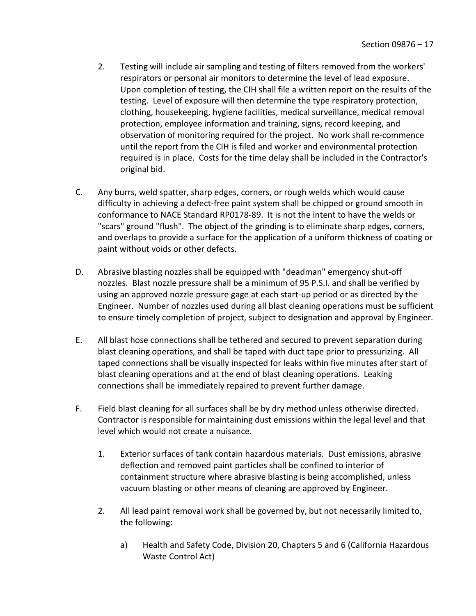- 2. Testing will include air sampling and testing of filters removed from the workers' respirators or personal air monitors to determine the level of lead exposure. Upon completion of testing, the CIH shall file a written report on the results of the testing. Level of exposure will then determine the type respiratory protection, clothing, housekeeping, hygiene facilities, medical surveillance, medical removal protection, employee information and training, signs, record keeping, and observation of monitoring required for the project. No work shall re-commence until the report from the CIH is filed and worker and environmental protection required is in place. Costs for the time delay shall be included in the Contractor's original bid.
- C. Any burrs, weld spatter, sharp edges, corners, or rough welds which would cause difficulty in achieving a defect-free paint system shall be chipped or ground smooth in conformance to NACE Standard RP0178-89. It is not the intent to have the welds or "scars" ground "flush". The object of the grinding is to eliminate sharp edges, corners, and overlaps to provide a surface for the application of a uniform thickness of coating or paint without voids or other defects.
- D. Abrasive blasting nozzles shall be equipped with "deadman" emergency shut-off nozzles. Blast nozzle pressure shall be a minimum of 95 P.S.I. and shall be verified by using an approved nozzle pressure gage at each start-up period or as directed by the Engineer. Number of nozzles used during all blast cleaning operations must be sufficient to ensure timely completion of project, subject to designation and approval by Engineer.
- E. All blast hose connections shall be tethered and secured to prevent separation during blast cleaning operations, and shall be taped with duct tape prior to pressurizing. All taped connections shall be visually inspected for leaks within five minutes after start of blast cleaning operations and at the end of blast cleaning operations. Leaking connections shall be immediately repaired to prevent further damage.
- F. Field blast cleaning for all surfaces shall be by dry method unless otherwise directed. Contractor is responsible for maintaining dust emissions within the legal level and that level which would not create a nuisance.
	- 1. Exterior surfaces of tank contain hazardous materials. Dust emissions, abrasive deflection and removed paint particles shall be confined to interior of containment structure where abrasive blasting is being accomplished, unless vacuum blasting or other means of cleaning are approved by Engineer.
	- 2. All lead paint removal work shall be governed by, but not necessarily limited to, the following:
		- a) Health and Safety Code, Division 20, Chapters 5 and 6 (California Hazardous Waste Control Act)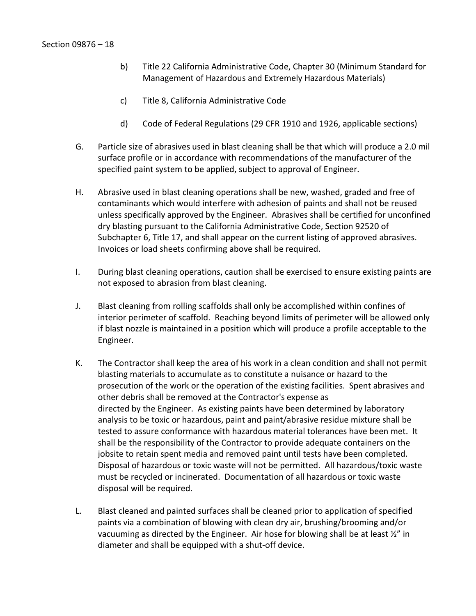- b) Title 22 California Administrative Code, Chapter 30 (Minimum Standard for Management of Hazardous and Extremely Hazardous Materials)
- c) Title 8, California Administrative Code
- d) Code of Federal Regulations (29 CFR 1910 and 1926, applicable sections)
- G. Particle size of abrasives used in blast cleaning shall be that which will produce a 2.0 mil surface profile or in accordance with recommendations of the manufacturer of the specified paint system to be applied, subject to approval of Engineer.
- H. Abrasive used in blast cleaning operations shall be new, washed, graded and free of contaminants which would interfere with adhesion of paints and shall not be reused unless specifically approved by the Engineer. Abrasives shall be certified for unconfined dry blasting pursuant to the California Administrative Code, Section 92520 of Subchapter 6, Title 17, and shall appear on the current listing of approved abrasives. Invoices or load sheets confirming above shall be required.
- I. During blast cleaning operations, caution shall be exercised to ensure existing paints are not exposed to abrasion from blast cleaning.
- J. Blast cleaning from rolling scaffolds shall only be accomplished within confines of interior perimeter of scaffold. Reaching beyond limits of perimeter will be allowed only if blast nozzle is maintained in a position which will produce a profile acceptable to the Engineer.
- K. The Contractor shall keep the area of his work in a clean condition and shall not permit blasting materials to accumulate as to constitute a nuisance or hazard to the prosecution of the work or the operation of the existing facilities. Spent abrasives and other debris shall be removed at the Contractor's expense as directed by the Engineer. As existing paints have been determined by laboratory analysis to be toxic or hazardous, paint and paint/abrasive residue mixture shall be tested to assure conformance with hazardous material tolerances have been met. It shall be the responsibility of the Contractor to provide adequate containers on the jobsite to retain spent media and removed paint until tests have been completed. Disposal of hazardous or toxic waste will not be permitted. All hazardous/toxic waste must be recycled or incinerated. Documentation of all hazardous or toxic waste disposal will be required.
- L. Blast cleaned and painted surfaces shall be cleaned prior to application of specified paints via a combination of blowing with clean dry air, brushing/brooming and/or vacuuming as directed by the Engineer. Air hose for blowing shall be at least  $\frac{1}{2}$  in diameter and shall be equipped with a shut-off device.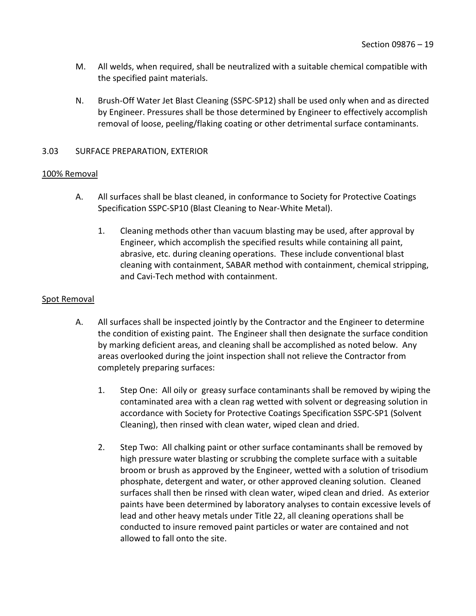- M. All welds, when required, shall be neutralized with a suitable chemical compatible with the specified paint materials.
- N. Brush-Off Water Jet Blast Cleaning (SSPC-SP12) shall be used only when and as directed by Engineer. Pressures shall be those determined by Engineer to effectively accomplish removal of loose, peeling/flaking coating or other detrimental surface contaminants.

## <span id="page-20-0"></span>3.03 SURFACE PREPARATION, EXTERIOR

### 100% Removal

- A. All surfaces shall be blast cleaned, in conformance to Society for Protective Coatings Specification SSPC-SP10 (Blast Cleaning to Near-White Metal).
	- 1. Cleaning methods other than vacuum blasting may be used, after approval by Engineer, which accomplish the specified results while containing all paint, abrasive, etc. during cleaning operations. These include conventional blast cleaning with containment, SABAR method with containment, chemical stripping, and Cavi-Tech method with containment.

## Spot Removal

- A. All surfaces shall be inspected jointly by the Contractor and the Engineer to determine the condition of existing paint. The Engineer shall then designate the surface condition by marking deficient areas, and cleaning shall be accomplished as noted below. Any areas overlooked during the joint inspection shall not relieve the Contractor from completely preparing surfaces:
	- 1. Step One: All oily or greasy surface contaminants shall be removed by wiping the contaminated area with a clean rag wetted with solvent or degreasing solution in accordance with Society for Protective Coatings Specification SSPC-SP1 (Solvent Cleaning), then rinsed with clean water, wiped clean and dried.
	- 2. Step Two: All chalking paint or other surface contaminants shall be removed by high pressure water blasting or scrubbing the complete surface with a suitable broom or brush as approved by the Engineer, wetted with a solution of trisodium phosphate, detergent and water, or other approved cleaning solution. Cleaned surfaces shall then be rinsed with clean water, wiped clean and dried. As exterior paints have been determined by laboratory analyses to contain excessive levels of lead and other heavy metals under Title 22, all cleaning operations shall be conducted to insure removed paint particles or water are contained and not allowed to fall onto the site.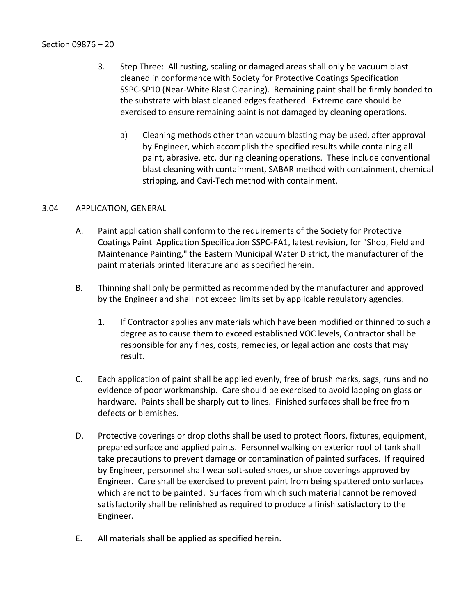- 3. Step Three: All rusting, scaling or damaged areas shall only be vacuum blast cleaned in conformance with Society for Protective Coatings Specification SSPC-SP10 (Near-White Blast Cleaning). Remaining paint shall be firmly bonded to the substrate with blast cleaned edges feathered. Extreme care should be exercised to ensure remaining paint is not damaged by cleaning operations.
	- a) Cleaning methods other than vacuum blasting may be used, after approval by Engineer, which accomplish the specified results while containing all paint, abrasive, etc. during cleaning operations. These include conventional blast cleaning with containment, SABAR method with containment, chemical stripping, and Cavi-Tech method with containment.

## <span id="page-21-0"></span>3.04 APPLICATION, GENERAL

- A. Paint application shall conform to the requirements of the Society for Protective Coatings Paint Application Specification SSPC-PA1, latest revision, for "Shop, Field and Maintenance Painting," the Eastern Municipal Water District, the manufacturer of the paint materials printed literature and as specified herein.
- B. Thinning shall only be permitted as recommended by the manufacturer and approved by the Engineer and shall not exceed limits set by applicable regulatory agencies.
	- 1. If Contractor applies any materials which have been modified or thinned to such a degree as to cause them to exceed established VOC levels, Contractor shall be responsible for any fines, costs, remedies, or legal action and costs that may result.
- C. Each application of paint shall be applied evenly, free of brush marks, sags, runs and no evidence of poor workmanship. Care should be exercised to avoid lapping on glass or hardware. Paints shall be sharply cut to lines. Finished surfaces shall be free from defects or blemishes.
- D. Protective coverings or drop cloths shall be used to protect floors, fixtures, equipment, prepared surface and applied paints. Personnel walking on exterior roof of tank shall take precautions to prevent damage or contamination of painted surfaces. If required by Engineer, personnel shall wear soft-soled shoes, or shoe coverings approved by Engineer. Care shall be exercised to prevent paint from being spattered onto surfaces which are not to be painted. Surfaces from which such material cannot be removed satisfactorily shall be refinished as required to produce a finish satisfactory to the Engineer.
- E. All materials shall be applied as specified herein.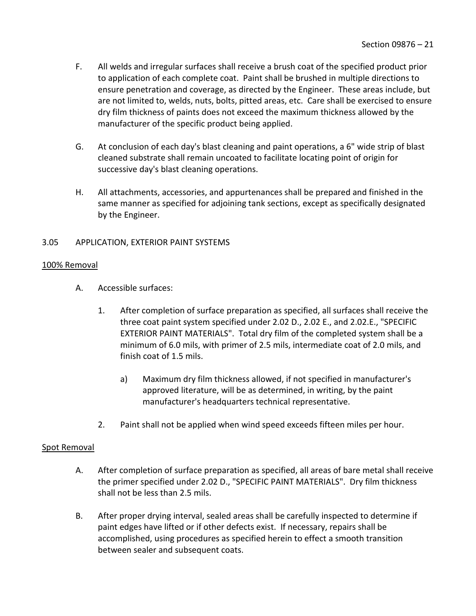- F. All welds and irregular surfaces shall receive a brush coat of the specified product prior to application of each complete coat. Paint shall be brushed in multiple directions to ensure penetration and coverage, as directed by the Engineer. These areas include, but are not limited to, welds, nuts, bolts, pitted areas, etc. Care shall be exercised to ensure dry film thickness of paints does not exceed the maximum thickness allowed by the manufacturer of the specific product being applied.
- G. At conclusion of each day's blast cleaning and paint operations, a 6" wide strip of blast cleaned substrate shall remain uncoated to facilitate locating point of origin for successive day's blast cleaning operations.
- H. All attachments, accessories, and appurtenances shall be prepared and finished in the same manner as specified for adjoining tank sections, except as specifically designated by the Engineer.

# <span id="page-22-0"></span>3.05 APPLICATION, EXTERIOR PAINT SYSTEMS

### 100% Removal

- A. Accessible surfaces:
	- 1. After completion of surface preparation as specified, all surfaces shall receive the three coat paint system specified under 2.02 D., 2.02 E., and 2.02.E., "SPECIFIC EXTERIOR PAINT MATERIALS". Total dry film of the completed system shall be a minimum of 6.0 mils, with primer of 2.5 mils, intermediate coat of 2.0 mils, and finish coat of 1.5 mils.
		- a) Maximum dry film thickness allowed, if not specified in manufacturer's approved literature, will be as determined, in writing, by the paint manufacturer's headquarters technical representative.
	- 2. Paint shall not be applied when wind speed exceeds fifteen miles per hour.

## Spot Removal

- A. After completion of surface preparation as specified, all areas of bare metal shall receive the primer specified under 2.02 D., "SPECIFIC PAINT MATERIALS". Dry film thickness shall not be less than 2.5 mils.
- B. After proper drying interval, sealed areas shall be carefully inspected to determine if paint edges have lifted or if other defects exist. If necessary, repairs shall be accomplished, using procedures as specified herein to effect a smooth transition between sealer and subsequent coats.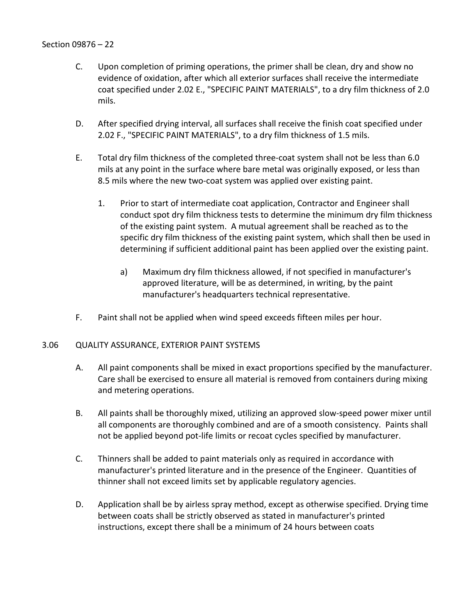- C. Upon completion of priming operations, the primer shall be clean, dry and show no evidence of oxidation, after which all exterior surfaces shall receive the intermediate coat specified under 2.02 E., "SPECIFIC PAINT MATERIALS", to a dry film thickness of 2.0 mils.
- D. After specified drying interval, all surfaces shall receive the finish coat specified under 2.02 F., "SPECIFIC PAINT MATERIALS", to a dry film thickness of 1.5 mils.
- E. Total dry film thickness of the completed three-coat system shall not be less than 6.0 mils at any point in the surface where bare metal was originally exposed, or less than 8.5 mils where the new two-coat system was applied over existing paint.
	- 1. Prior to start of intermediate coat application, Contractor and Engineer shall conduct spot dry film thickness tests to determine the minimum dry film thickness of the existing paint system. A mutual agreement shall be reached as to the specific dry film thickness of the existing paint system, which shall then be used in determining if sufficient additional paint has been applied over the existing paint.
		- a) Maximum dry film thickness allowed, if not specified in manufacturer's approved literature, will be as determined, in writing, by the paint manufacturer's headquarters technical representative.
- F. Paint shall not be applied when wind speed exceeds fifteen miles per hour.

## <span id="page-23-0"></span>3.06 QUALITY ASSURANCE, EXTERIOR PAINT SYSTEMS

- A. All paint components shall be mixed in exact proportions specified by the manufacturer. Care shall be exercised to ensure all material is removed from containers during mixing and metering operations.
- B. All paints shall be thoroughly mixed, utilizing an approved slow-speed power mixer until all components are thoroughly combined and are of a smooth consistency. Paints shall not be applied beyond pot-life limits or recoat cycles specified by manufacturer.
- C. Thinners shall be added to paint materials only as required in accordance with manufacturer's printed literature and in the presence of the Engineer. Quantities of thinner shall not exceed limits set by applicable regulatory agencies.
- D. Application shall be by airless spray method, except as otherwise specified. Drying time between coats shall be strictly observed as stated in manufacturer's printed instructions, except there shall be a minimum of 24 hours between coats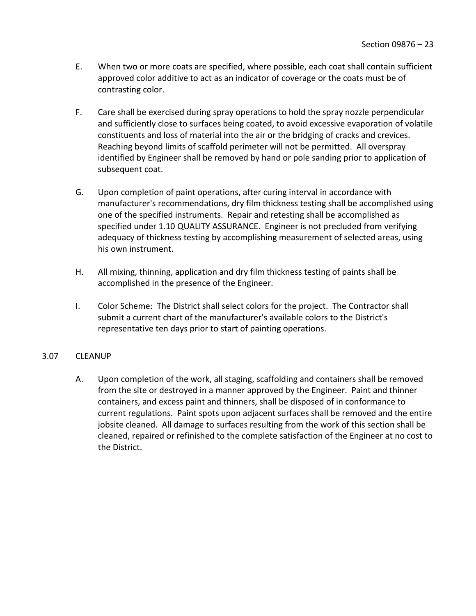- E. When two or more coats are specified, where possible, each coat shall contain sufficient approved color additive to act as an indicator of coverage or the coats must be of contrasting color.
- F. Care shall be exercised during spray operations to hold the spray nozzle perpendicular and sufficiently close to surfaces being coated, to avoid excessive evaporation of volatile constituents and loss of material into the air or the bridging of cracks and crevices. Reaching beyond limits of scaffold perimeter will not be permitted. All overspray identified by Engineer shall be removed by hand or pole sanding prior to application of subsequent coat.
- G. Upon completion of paint operations, after curing interval in accordance with manufacturer's recommendations, dry film thickness testing shall be accomplished using one of the specified instruments. Repair and retesting shall be accomplished as specified under 1.10 QUALITY ASSURANCE. Engineer is not precluded from verifying adequacy of thickness testing by accomplishing measurement of selected areas, using his own instrument.
- H. All mixing, thinning, application and dry film thickness testing of paints shall be accomplished in the presence of the Engineer.
- I. Color Scheme: The District shall select colors for the project. The Contractor shall submit a current chart of the manufacturer's available colors to the District's representative ten days prior to start of painting operations.

## <span id="page-24-0"></span>3.07 CLEANUP

A. Upon completion of the work, all staging, scaffolding and containers shall be removed from the site or destroyed in a manner approved by the Engineer. Paint and thinner containers, and excess paint and thinners, shall be disposed of in conformance to current regulations. Paint spots upon adjacent surfaces shall be removed and the entire jobsite cleaned. All damage to surfaces resulting from the work of this section shall be cleaned, repaired or refinished to the complete satisfaction of the Engineer at no cost to the District.